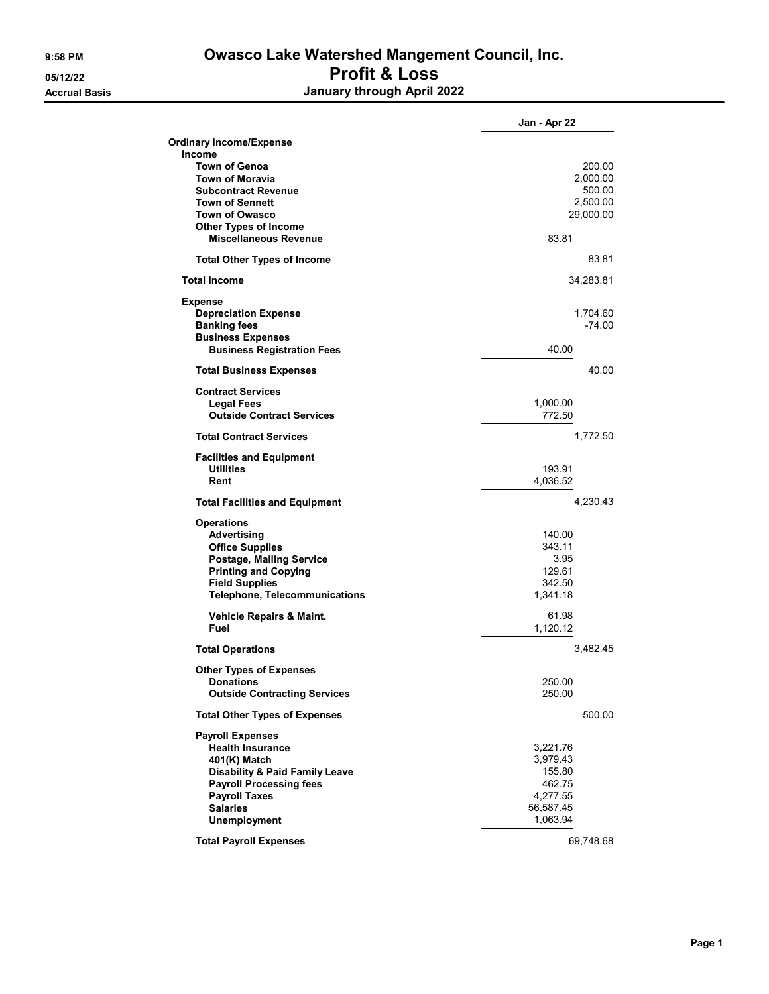## 9:58 PM **Owasco Lake Watershed Mangement Council, Inc.** 05/12/22 Profit & Loss Accrual Basis January through April 2022

|                                           | Jan - Apr 22 |
|-------------------------------------------|--------------|
| <b>Ordinary Income/Expense</b>            |              |
| Income                                    |              |
| <b>Town of Genoa</b>                      | 200.00       |
| <b>Town of Moravia</b>                    | 2,000.00     |
| <b>Subcontract Revenue</b>                | 500.00       |
| <b>Town of Sennett</b>                    | 2,500.00     |
| <b>Town of Owasco</b>                     | 29,000.00    |
| <b>Other Types of Income</b>              |              |
| <b>Miscellaneous Revenue</b>              | 83.81        |
| <b>Total Other Types of Income</b>        | 83.81        |
| <b>Total Income</b>                       | 34,283.81    |
| <b>Expense</b>                            |              |
| <b>Depreciation Expense</b>               | 1,704.60     |
| <b>Banking fees</b>                       | $-74.00$     |
| <b>Business Expenses</b>                  |              |
| <b>Business Registration Fees</b>         | 40.00        |
| <b>Total Business Expenses</b>            | 40.00        |
| <b>Contract Services</b>                  |              |
| <b>Legal Fees</b>                         | 1,000.00     |
| <b>Outside Contract Services</b>          | 772.50       |
| <b>Total Contract Services</b>            | 1,772.50     |
| <b>Facilities and Equipment</b>           |              |
| <b>Utilities</b>                          | 193.91       |
| Rent                                      | 4.036.52     |
| <b>Total Facilities and Equipment</b>     | 4,230.43     |
| <b>Operations</b>                         |              |
| Advertising                               | 140.00       |
| <b>Office Supplies</b>                    | 343.11       |
| Postage, Mailing Service                  | 3.95         |
| <b>Printing and Copying</b>               | 129.61       |
| <b>Field Supplies</b>                     | 342.50       |
| <b>Telephone, Telecommunications</b>      | 1,341.18     |
| <b>Vehicle Repairs &amp; Maint.</b>       | 61.98        |
| Fuel                                      | 1,120.12     |
| <b>Total Operations</b>                   | 3,482.45     |
| <b>Other Types of Expenses</b>            |              |
| Donations                                 | 250.00       |
| <b>Outside Contracting Services</b>       | 250.00       |
| <b>Total Other Types of Expenses</b>      | 500.00       |
| <b>Payroll Expenses</b>                   |              |
| <b>Health Insurance</b>                   | 3,221.76     |
| 401(K) Match                              | 3,979.43     |
| <b>Disability &amp; Paid Family Leave</b> | 155.80       |
| <b>Payroll Processing fees</b>            | 462.75       |
| <b>Payroll Taxes</b>                      | 4,277.55     |
| <b>Salaries</b>                           | 56,587.45    |
| <b>Unemployment</b>                       | 1,063.94     |
|                                           |              |
| <b>Total Payroll Expenses</b>             | 69,748.68    |